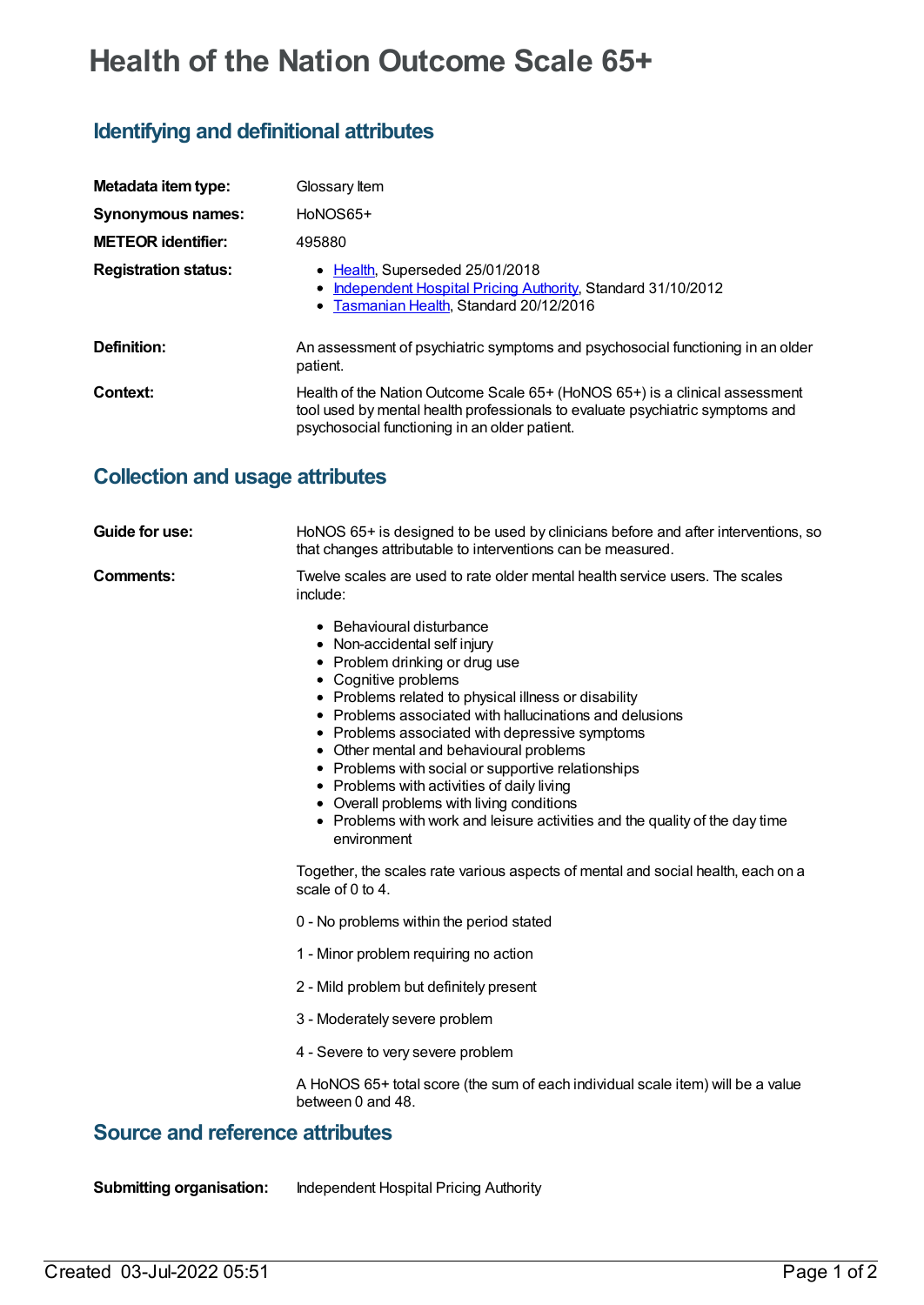## **Health of the Nation Outcome Scale 65+**

## **Identifying and definitional attributes**

| Metadata item type:         | Glossary Item                                                                                                                                                                                                 |
|-----------------------------|---------------------------------------------------------------------------------------------------------------------------------------------------------------------------------------------------------------|
| <b>Synonymous names:</b>    | HoNOS65+                                                                                                                                                                                                      |
| <b>METEOR identifier:</b>   | 495880                                                                                                                                                                                                        |
| <b>Registration status:</b> | • Health, Superseded 25/01/2018<br>• Independent Hospital Pricing Authority, Standard 31/10/2012<br>• Tasmanian Health, Standard 20/12/2016                                                                   |
| Definition:                 | An assessment of psychiatric symptoms and psychosocial functioning in an older<br>patient.                                                                                                                    |
| Context:                    | Health of the Nation Outcome Scale 65+ (HoNOS 65+) is a clinical assessment<br>tool used by mental health professionals to evaluate psychiatric symptoms and<br>psychosocial functioning in an older patient. |

## **Collection and usage attributes**

| Guide for use: | HoNOS 65+ is designed to be used by clinicians before and after interventions, so<br>that changes attributable to interventions can be measured.                                                                                                                                                                                                                                                                                                                                                                                                                                                                                                                                           |
|----------------|--------------------------------------------------------------------------------------------------------------------------------------------------------------------------------------------------------------------------------------------------------------------------------------------------------------------------------------------------------------------------------------------------------------------------------------------------------------------------------------------------------------------------------------------------------------------------------------------------------------------------------------------------------------------------------------------|
| Comments:      | Twelve scales are used to rate older mental health service users. The scales<br>include:                                                                                                                                                                                                                                                                                                                                                                                                                                                                                                                                                                                                   |
|                | • Behavioural disturbance<br>• Non-accidental self injury<br>• Problem drinking or drug use<br>• Cognitive problems<br>• Problems related to physical illness or disability<br>• Problems associated with hallucinations and delusions<br>• Problems associated with depressive symptoms<br>• Other mental and behavioural problems<br>• Problems with social or supportive relationships<br>• Problems with activities of daily living<br>• Overall problems with living conditions<br>• Problems with work and leisure activities and the quality of the day time<br>environment<br>Together, the scales rate various aspects of mental and social health, each on a<br>scale of 0 to 4. |
|                | 0 - No problems within the period stated                                                                                                                                                                                                                                                                                                                                                                                                                                                                                                                                                                                                                                                   |
|                | 1 - Minor problem requiring no action                                                                                                                                                                                                                                                                                                                                                                                                                                                                                                                                                                                                                                                      |
|                | 2 - Mild problem but definitely present                                                                                                                                                                                                                                                                                                                                                                                                                                                                                                                                                                                                                                                    |
|                | 3 - Moderately severe problem                                                                                                                                                                                                                                                                                                                                                                                                                                                                                                                                                                                                                                                              |
|                | 4 - Severe to very severe problem                                                                                                                                                                                                                                                                                                                                                                                                                                                                                                                                                                                                                                                          |
|                | A HoNOS 65+ total score (the sum of each individual scale item) will be a value<br>between 0 and 48.                                                                                                                                                                                                                                                                                                                                                                                                                                                                                                                                                                                       |
| تكتمت الت      | مستقد ومالسته فسي                                                                                                                                                                                                                                                                                                                                                                                                                                                                                                                                                                                                                                                                          |

## **Source and reference attributes**

**Submitting organisation:** Independent Hospital Pricing Authority